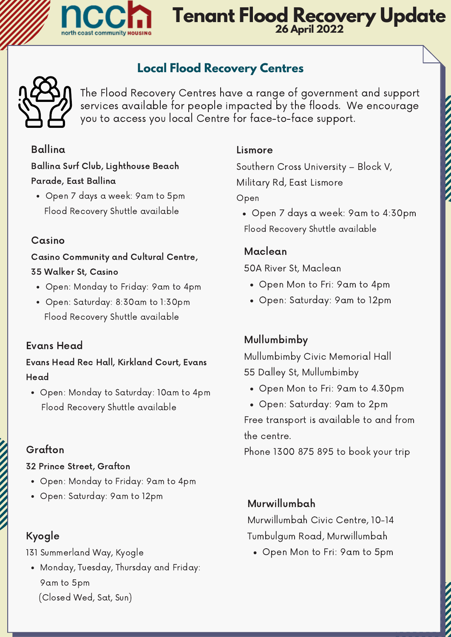

## **Tenant Flood Recovery Update 26 April 2022**

### **Local Flood Recovery Centres**



The Flood Recovery Centres have a range of government and support services available for people impacted by the floods. We encourage you to access you local Centre for face-to-face support.

#### Ballina

Ballina Surf Club, Lighthouse Beach [Parade,](https://goo.gl/maps/avevKHm2NzmVaVQ77) East Ballina

Open 7 days a week: 9am to 5pm Flood Recovery Shuttle available

#### Casino

Casino [Community](https://goo.gl/maps/avevKHm2NzmVaVQ77) and Cultural Centre, 35 Walker St, Casino

- Open: Monday to Friday: 9am to 4pm
- Open: Saturday: 8:30am to 1:30pm Flood Recovery Shuttle available

#### Evans Head

Evans Head Rec Hall, Kirkland Court, Evans Head

Open: Monday to Saturday: 10am to 4pm Flood Recovery Shuttle available

#### Grafton

#### 32 Prince Street, Grafton

- Open: Monday to Friday: 9am to 4pm
- Open: Saturday: 9am to 12pm

#### Kyogle

131 Summerland Way, Kyogle

Monday, Tuesday, Thursday and Friday: 9am to 5pm (Closed Wed, Sat, Sun)

#### Lismore

Southern Cross [University](https://g.page/southerncrossuniversity) – Block V, Military Rd, East Lismore

Open

Open 7 days a week: 9am to 4:30pm Flood Recovery Shuttle available

#### Maclean

50A River St, Maclean

- Open Mon to Fri: 9am to 4pm
- Open: Saturday: 9am to 12pm

#### Mullumbimby

Mullumbimby Civic Memorial Hall 55 Dalley St, Mullumbimby

- Open Mon to Fri: 9am to 4.30pm
- Open: Saturday: 9am to 2pm

Free transport is available to and from the centre.

Phone 1300 875 895 to book your trip

#### Murwillumbah

Murwillumbah Civic Centre, 10-14 Tumbulgum Road, Murwillumbah

Open Mon to Fri: 9am to 5pm